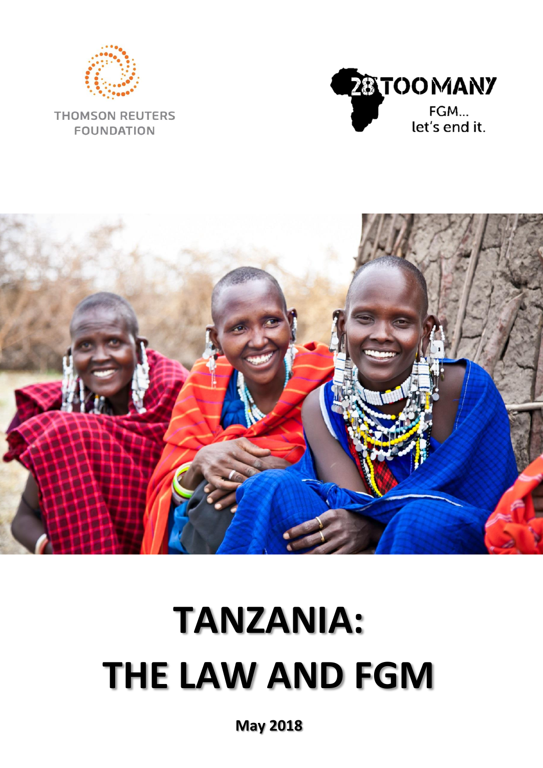

**THOMSON REUTERS FOUNDATION** 





# **TANZANIA: THE LAW AND FGM**

**May 2018**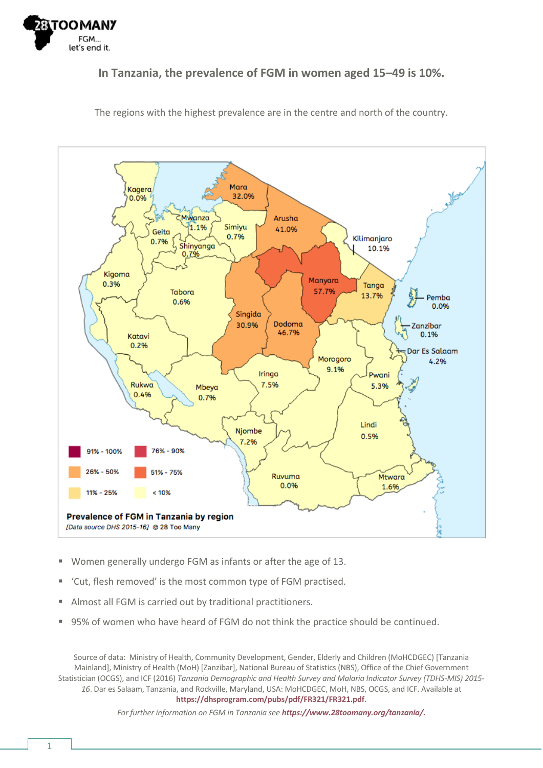

#### **In Tanzania, the prevalence of FGM in women aged 15–49 is 10%.**



The regions with the highest prevalence are in the centre and north of the country.

- Women generally undergo FGM as infants or after the age of 13.
- 'Cut, flesh removed' is the most common type of FGM practised.
- Almost all FGM is carried out by traditional practitioners.
- 95% of women who have heard of FGM do not think the practice should be continued.

Source of data: Ministry of Health, Community Development, Gender, Elderly and Children (MoHCDGEC) [Tanzania Mainland], Ministry of Health (MoH) [Zanzibar], National Bureau of Statistics (NBS), Office of the Chief Government Statistician (OCGS), and ICF (2016) *Tanzania Demographic and Health Survey and Malaria Indicator Survey (TDHS-MIS) 2015- 16*. Dar es Salaam, Tanzania, and Rockville, Maryland, USA: MoHCDGEC, MoH, NBS, OCGS, and ICF. Available at **<https://dhsprogram.com/pubs/pdf/FR321/FR321.pdf>**.

*For further information on FGM in Tanzania see [https://www.28toomany.org/tanzania/.](https://www.28toomany.org/tanzania/)*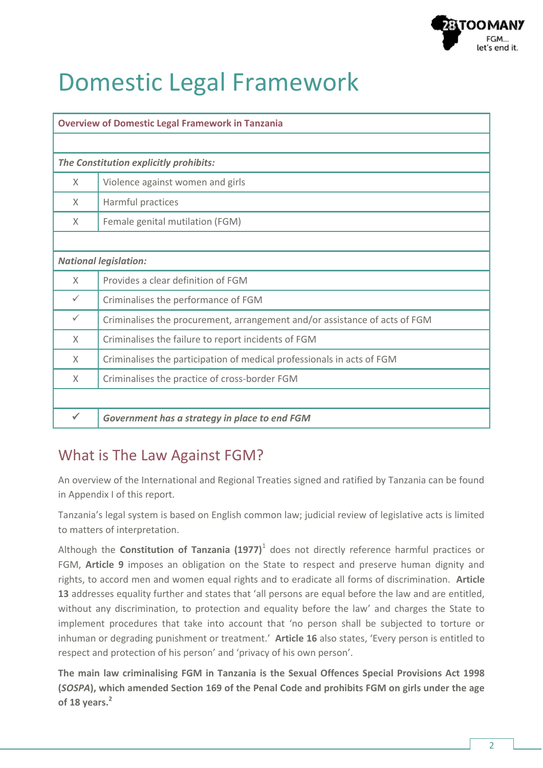

# Domestic Legal Framework

| <b>Overview of Domestic Legal Framework in Tanzania</b> |                                                                            |  |  |  |  |
|---------------------------------------------------------|----------------------------------------------------------------------------|--|--|--|--|
|                                                         |                                                                            |  |  |  |  |
| The Constitution explicitly prohibits:                  |                                                                            |  |  |  |  |
| X                                                       | Violence against women and girls                                           |  |  |  |  |
| X.                                                      | Harmful practices                                                          |  |  |  |  |
| X                                                       | Female genital mutilation (FGM)                                            |  |  |  |  |
|                                                         |                                                                            |  |  |  |  |
| <b>National legislation:</b>                            |                                                                            |  |  |  |  |
| $\times$                                                | Provides a clear definition of FGM                                         |  |  |  |  |
| $\checkmark$                                            | Criminalises the performance of FGM                                        |  |  |  |  |
| $\checkmark$                                            | Criminalises the procurement, arrangement and/or assistance of acts of FGM |  |  |  |  |
| X                                                       | Criminalises the failure to report incidents of FGM                        |  |  |  |  |
| X                                                       | Criminalises the participation of medical professionals in acts of FGM     |  |  |  |  |
| X                                                       | Criminalises the practice of cross-border FGM                              |  |  |  |  |
|                                                         |                                                                            |  |  |  |  |
| ✓                                                       | Government has a strategy in place to end FGM                              |  |  |  |  |

# What is The Law Against FGM?

An overview of the International and Regional Treaties signed and ratified by Tanzania can be found in Appendix I of this report.

Tanzania's legal system is based on English common law; judicial review of legislative acts is limited to matters of interpretation.

Although the **Constitution of Tanzania (1977)**<sup>1</sup> does not directly reference harmful practices or FGM, **Article 9** imposes an obligation on the State to respect and preserve human dignity and rights, to accord men and women equal rights and to eradicate all forms of discrimination. **Article 13** addresses equality further and states that 'all persons are equal before the law and are entitled, without any discrimination, to protection and equality before the law' and charges the State to implement procedures that take into account that 'no person shall be subjected to torture or inhuman or degrading punishment or treatment.' **Article 16** also states, 'Every person is entitled to respect and protection of his person' and 'privacy of his own person'.

**The main law criminalising FGM in Tanzania is the Sexual Offences Special Provisions Act 1998 (***SOSPA***), which amended Section 169 of the Penal Code and prohibits FGM on girls under the age of 18 years.<sup>2</sup>**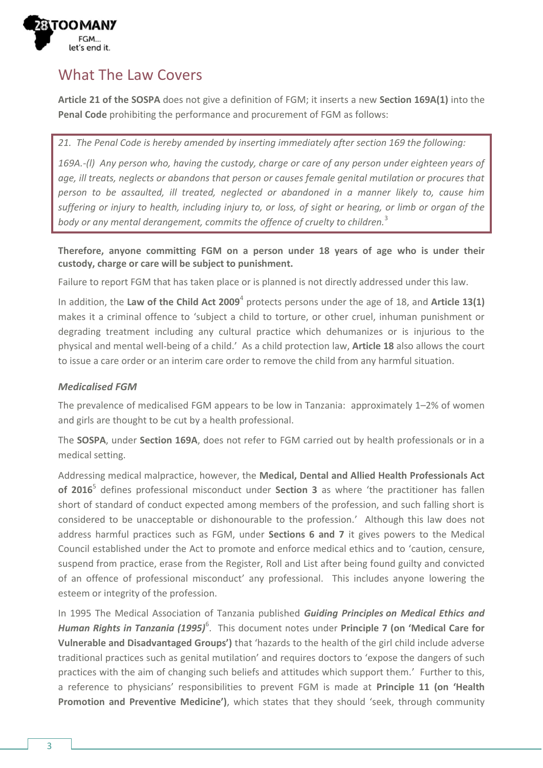

# What The Law Covers

**Article 21 of the SOSPA** does not give a definition of FGM; it inserts a new **Section 169A(1)** into the **Penal Code** prohibiting the performance and procurement of FGM as follows:

*21. The Penal Code is hereby amended by inserting immediately after section 169 the following:*

*169A.-(l) Any person who, having the custody, charge or care of any person under eighteen years of age, ill treats, neglects or abandons that person or causes female genital mutilation or procures that person to be assaulted, ill treated, neglected or abandoned in a manner likely to, cause him suffering or injury to health, including injury to, or loss, of sight or hearing, or limb or organ of the body or any mental derangement, commits the offence of cruelty to children.*<sup>3</sup>

**Therefore, anyone committing FGM on a person under 18 years of age who is under their custody, charge or care will be subject to punishment.**

Failure to report FGM that has taken place or is planned is not directly addressed under this law.

In addition, the **Law of the Child Act 2009**<sup>4</sup> protects persons under the age of 18, and **Article 13(1)** makes it a criminal offence to 'subject a child to torture, or other cruel, inhuman punishment or degrading treatment including any cultural practice which dehumanizes or is injurious to the physical and mental well-being of a child.' As a child protection law, **Article 18** also allows the court to issue a care order or an interim care order to remove the child from any harmful situation.

#### *Medicalised FGM*

The prevalence of medicalised FGM appears to be low in Tanzania: approximately 1–2% of women and girls are thought to be cut by a health professional.

The **SOSPA**, under **Section 169A**, does not refer to FGM carried out by health professionals or in a medical setting.

Addressing medical malpractice, however, the **Medical, Dental and Allied Health Professionals Act of 2016**<sup>5</sup> defines professional misconduct under **Section 3** as where 'the practitioner has fallen short of standard of conduct expected among members of the profession, and such falling short is considered to be unacceptable or dishonourable to the profession.' Although this law does not address harmful practices such as FGM, under **Sections 6 and 7** it gives powers to the Medical Council established under the Act to promote and enforce medical ethics and to 'caution, censure, suspend from practice, erase from the Register, Roll and List after being found guilty and convicted of an offence of professional misconduct' any professional. This includes anyone lowering the esteem or integrity of the profession.

In 1995 The Medical Association of Tanzania published *Guiding Principles on Medical Ethics and*  Human Rights in Tanzania (1995)<sup>6</sup>. This document notes under Principle 7 (on 'Medical Care for **Vulnerable and Disadvantaged Groups')** that 'hazards to the health of the girl child include adverse traditional practices such as genital mutilation' and requires doctors to 'expose the dangers of such practices with the aim of changing such beliefs and attitudes which support them.' Further to this, a reference to physicians' responsibilities to prevent FGM is made at **Principle 11 (on 'Health Promotion and Preventive Medicine')**, which states that they should 'seek, through community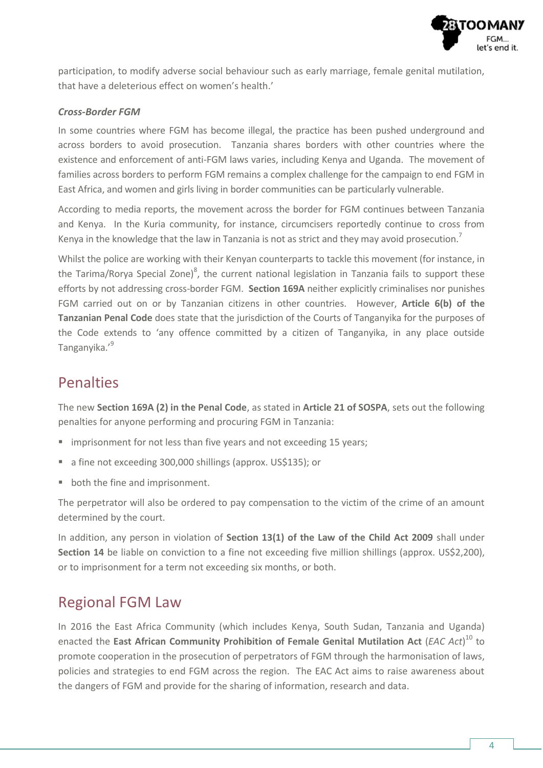

participation, to modify adverse social behaviour such as early marriage, female genital mutilation, that have a deleterious effect on women's health.'

#### *Cross-Border FGM*

In some countries where FGM has become illegal, the practice has been pushed underground and across borders to avoid prosecution. Tanzania shares borders with other countries where the existence and enforcement of anti-FGM laws varies, including Kenya and Uganda. The movement of families across borders to perform FGM remains a complex challenge for the campaign to end FGM in East Africa, and women and girls living in border communities can be particularly vulnerable.

According to media reports, the movement across the border for FGM continues between Tanzania and Kenya. In the Kuria community, for instance, circumcisers reportedly continue to cross from Kenya in the knowledge that the law in Tanzania is not as strict and they may avoid prosecution.<sup>7</sup>

Whilst the police are working with their Kenyan counterparts to tackle this movement (for instance, in the Tarima/Rorya Special Zone)<sup>8</sup>, the current national legislation in Tanzania fails to support these efforts by not addressing cross-border FGM. **Section 169A** neither explicitly criminalises nor punishes FGM carried out on or by Tanzanian citizens in other countries. However, **Article 6(b) of the Tanzanian Penal Code** does state that the jurisdiction of the Courts of Tanganyika for the purposes of the Code extends to 'any offence committed by a citizen of Tanganyika, in any place outside Tanganyika.' 9

### Penalties

The new **Section 169A (2) in the Penal Code**, as stated in **Article 21 of SOSPA**, sets out the following penalties for anyone performing and procuring FGM in Tanzania:

- **IF** imprisonment for not less than five years and not exceeding 15 years;
- a fine not exceeding 300,000 shillings (approx. US\$135); or
- **•** both the fine and imprisonment.

The perpetrator will also be ordered to pay compensation to the victim of the crime of an amount determined by the court.

In addition, any person in violation of **Section 13(1) of the Law of the Child Act 2009** shall under **Section 14** be liable on conviction to a fine not exceeding five million shillings (approx. US\$2,200), or to imprisonment for a term not exceeding six months, or both.

### Regional FGM Law

In 2016 the East Africa Community (which includes Kenya, South Sudan, Tanzania and Uganda) enacted the **East African Community Prohibition of Female Genital Mutilation Act** (*EAC Act*) <sup>10</sup> to promote cooperation in the prosecution of perpetrators of FGM through the harmonisation of laws, policies and strategies to end FGM across the region. The EAC Act aims to raise awareness about the dangers of FGM and provide for the sharing of information, research and data.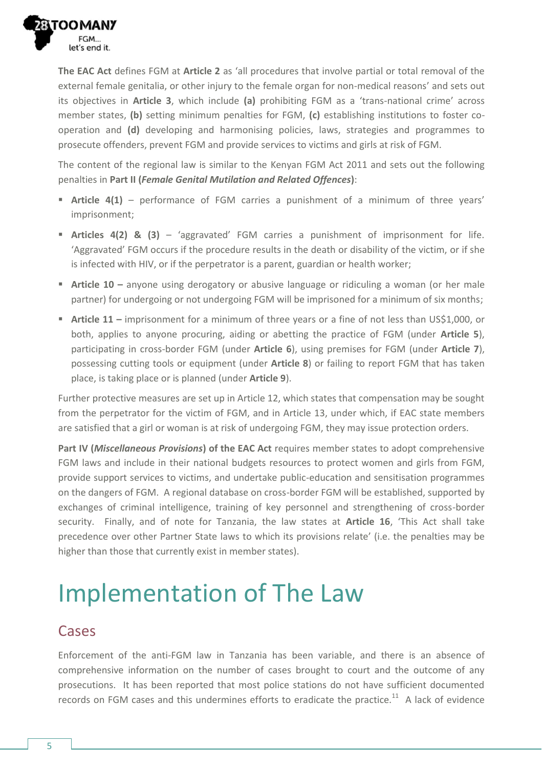

**The EAC Act** defines FGM at **Article 2** as 'all procedures that involve partial or total removal of the external female genitalia, or other injury to the female organ for non-medical reasons' and sets out its objectives in **Article 3**, which include **(a)** prohibiting FGM as a 'trans-national crime' across member states, **(b)** setting minimum penalties for FGM, **(c)** establishing institutions to foster cooperation and **(d)** developing and harmonising policies, laws, strategies and programmes to prosecute offenders, prevent FGM and provide services to victims and girls at risk of FGM.

The content of the regional law is similar to the Kenyan FGM Act 2011 and sets out the following penalties in **Part II (***Female Genital Mutilation and Related Offences***)**:

- **Article 4(1)** performance of FGM carries a punishment of a minimum of three years' imprisonment;
- **Articles 4(2) & (3)** 'aggravated' FGM carries a punishment of imprisonment for life. 'Aggravated' FGM occurs if the procedure results in the death or disability of the victim, or if she is infected with HIV, or if the perpetrator is a parent, guardian or health worker;
- **Article 10 –** anyone using derogatory or abusive language or ridiculing a woman (or her male partner) for undergoing or not undergoing FGM will be imprisoned for a minimum of six months;
- **Article 11 –** imprisonment for a minimum of three years or a fine of not less than US\$1,000, or both, applies to anyone procuring, aiding or abetting the practice of FGM (under **Article 5**), participating in cross-border FGM (under **Article 6**), using premises for FGM (under **Article 7**), possessing cutting tools or equipment (under **Article 8**) or failing to report FGM that has taken place, is taking place or is planned (under **Article 9**).

Further protective measures are set up in Article 12, which states that compensation may be sought from the perpetrator for the victim of FGM, and in Article 13, under which, if EAC state members are satisfied that a girl or woman is at risk of undergoing FGM, they may issue protection orders.

**Part IV (***Miscellaneous Provisions***) of the EAC Act** requires member states to adopt comprehensive FGM laws and include in their national budgets resources to protect women and girls from FGM, provide support services to victims, and undertake public-education and sensitisation programmes on the dangers of FGM. A regional database on cross-border FGM will be established, supported by exchanges of criminal intelligence, training of key personnel and strengthening of cross-border security. Finally, and of note for Tanzania, the law states at **Article 16**, 'This Act shall take precedence over other Partner State laws to which its provisions relate' (i.e. the penalties may be higher than those that currently exist in member states).

# Implementation of The Law

#### Cases

Enforcement of the anti-FGM law in Tanzania has been variable, and there is an absence of comprehensive information on the number of cases brought to court and the outcome of any prosecutions. It has been reported that most police stations do not have sufficient documented records on FGM cases and this undermines efforts to eradicate the practice.<sup>11</sup> A lack of evidence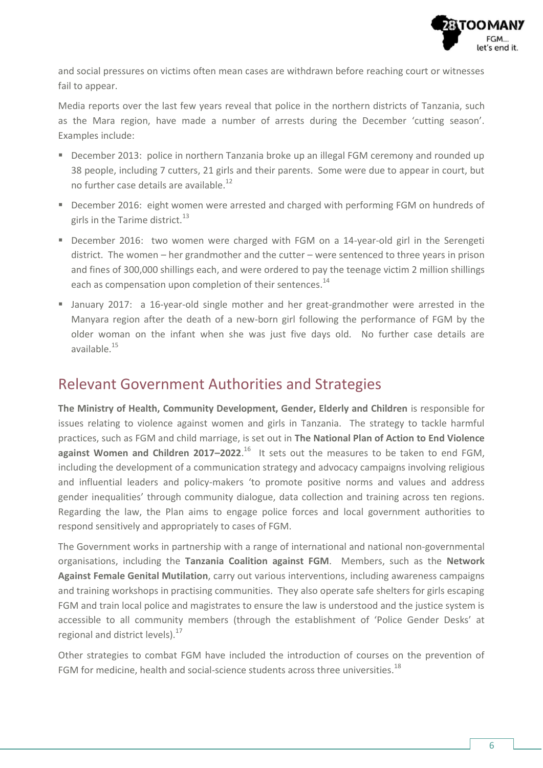

and social pressures on victims often mean cases are withdrawn before reaching court or witnesses fail to appear.

Media reports over the last few years reveal that police in the northern districts of Tanzania, such as the Mara region, have made a number of arrests during the December 'cutting season'. Examples include:

- **December 2013: police in northern Tanzania broke up an illegal FGM ceremony and rounded up** 38 people, including 7 cutters, 21 girls and their parents. Some were due to appear in court, but no further case details are available.<sup>12</sup>
- December 2016: eight women were arrested and charged with performing FGM on hundreds of girls in the Tarime district. $^{13}$
- December 2016: two women were charged with FGM on a 14-year-old girl in the Serengeti district. The women – her grandmother and the cutter – were sentenced to three years in prison and fines of 300,000 shillings each, and were ordered to pay the teenage victim 2 million shillings each as compensation upon completion of their sentences.<sup>14</sup>
- January 2017: a 16-year-old single mother and her great-grandmother were arrested in the Manyara region after the death of a new-born girl following the performance of FGM by the older woman on the infant when she was just five days old. No further case details are available.<sup>15</sup>

### Relevant Government Authorities and Strategies

**The Ministry of Health, Community Development, Gender, Elderly and Children** is responsible for issues relating to violence against women and girls in Tanzania. The strategy to tackle harmful practices, such as FGM and child marriage, is set out in **The National Plan of Action to End Violence against Women and Children 2017–2022**. <sup>16</sup> It sets out the measures to be taken to end FGM, including the development of a communication strategy and advocacy campaigns involving religious and influential leaders and policy-makers 'to promote positive norms and values and address gender inequalities' through community dialogue, data collection and training across ten regions. Regarding the law, the Plan aims to engage police forces and local government authorities to respond sensitively and appropriately to cases of FGM.

The Government works in partnership with a range of international and national non-governmental organisations, including the **Tanzania Coalition against FGM**. Members, such as the **Network Against Female Genital Mutilation**, carry out various interventions, including awareness campaigns and training workshops in practising communities. They also operate safe shelters for girls escaping FGM and train local police and magistrates to ensure the law is understood and the justice system is accessible to all community members (through the establishment of 'Police Gender Desks' at regional and district levels). $17$ 

Other strategies to combat FGM have included the introduction of courses on the prevention of FGM for medicine, health and social-science students across three universities.<sup>18</sup>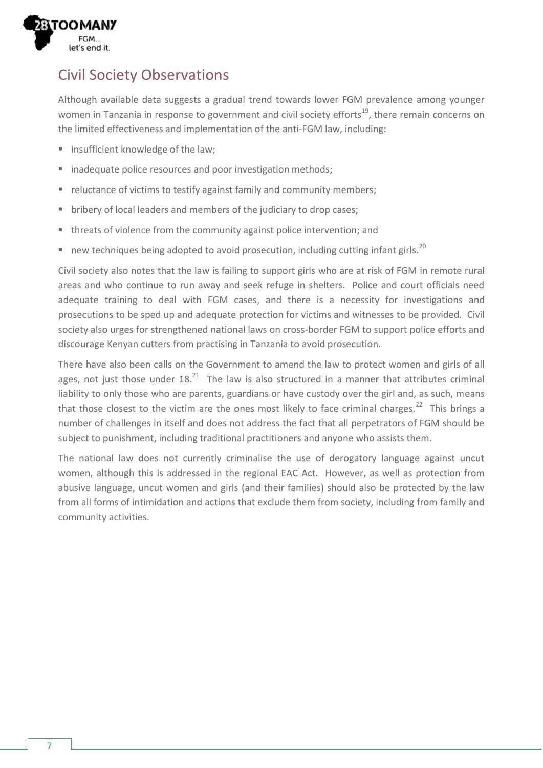

# Civil Society Observations

Although available data suggests a gradual trend towards lower FGM prevalence among younger women in Tanzania in response to government and civil society efforts<sup>19</sup>, there remain concerns on the limited effectiveness and implementation of the anti-FGM law, including:

- **Example 1** insufficient knowledge of the law;
- **ightharror indequate police resources and poor investigation methods;**
- **•** reluctance of victims to testify against family and community members;
- **bribery of local leaders and members of the judiciary to drop cases;**
- threats of violence from the community against police intervention; and
- new techniques being adopted to avoid prosecution, including cutting infant girls.<sup>20</sup>

Civil society also notes that the law is failing to support girls who are at risk of FGM in remote rural areas and who continue to run away and seek refuge in shelters. Police and court officials need adequate training to deal with FGM cases, and there is a necessity for investigations and prosecutions to be sped up and adequate protection for victims and witnesses to be provided. Civil society also urges for strengthened national laws on cross-border FGM to support police efforts and discourage Kenyan cutters from practising in Tanzania to avoid prosecution.

There have also been calls on the Government to amend the law to protect women and girls of all ages, not just those under  $18.<sup>21</sup>$  The law is also structured in a manner that attributes criminal liability to only those who are parents, guardians or have custody over the girl and, as such, means that those closest to the victim are the ones most likely to face criminal charges.<sup>22</sup> This brings a number of challenges in itself and does not address the fact that all perpetrators of FGM should be subject to punishment, including traditional practitioners and anyone who assists them.

The national law does not currently criminalise the use of derogatory language against uncut women, although this is addressed in the regional EAC Act. However, as well as protection from abusive language, uncut women and girls (and their families) should also be protected by the law from all forms of intimidation and actions that exclude them from society, including from family and community activities.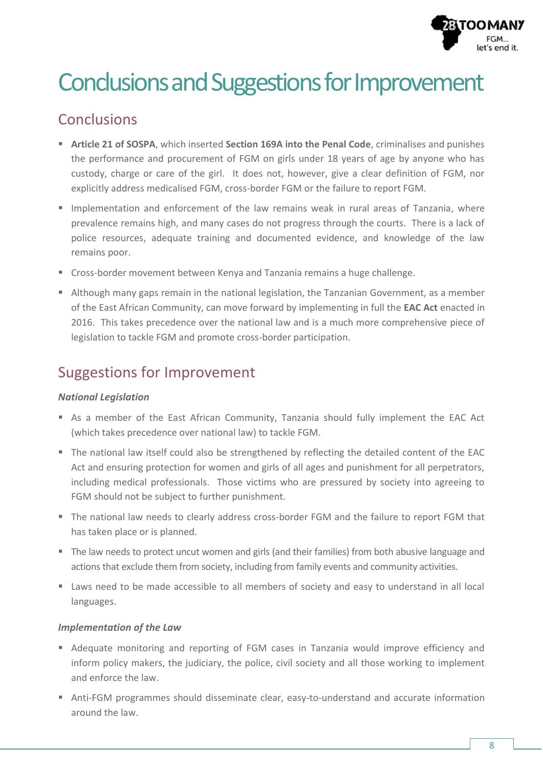

# Conclusions and Suggestions for Improvement

# Conclusions

- **Article 21 of SOSPA**, which inserted **Section 169A into the Penal Code**, criminalises and punishes the performance and procurement of FGM on girls under 18 years of age by anyone who has custody, charge or care of the girl. It does not, however, give a clear definition of FGM, nor explicitly address medicalised FGM, cross-border FGM or the failure to report FGM.
- **Implementation and enforcement of the law remains weak in rural areas of Tanzania, where** prevalence remains high, and many cases do not progress through the courts. There is a lack of police resources, adequate training and documented evidence, and knowledge of the law remains poor.
- Cross-border movement between Kenya and Tanzania remains a huge challenge.
- Although many gaps remain in the national legislation, the Tanzanian Government, as a member of the East African Community, can move forward by implementing in full the **EAC Act** enacted in 2016. This takes precedence over the national law and is a much more comprehensive piece of legislation to tackle FGM and promote cross-border participation.

# Suggestions for Improvement

#### *National Legislation*

- As a member of the East African Community, Tanzania should fully implement the EAC Act (which takes precedence over national law) to tackle FGM.
- The national law itself could also be strengthened by reflecting the detailed content of the EAC Act and ensuring protection for women and girls of all ages and punishment for all perpetrators, including medical professionals. Those victims who are pressured by society into agreeing to FGM should not be subject to further punishment.
- The national law needs to clearly address cross-border FGM and the failure to report FGM that has taken place or is planned.
- The law needs to protect uncut women and girls (and their families) from both abusive language and actions that exclude them from society, including from family events and community activities.
- Laws need to be made accessible to all members of society and easy to understand in all local languages.

#### *Implementation of the Law*

- Adequate monitoring and reporting of FGM cases in Tanzania would improve efficiency and inform policy makers, the judiciary, the police, civil society and all those working to implement and enforce the law.
- Anti-FGM programmes should disseminate clear, easy-to-understand and accurate information around the law.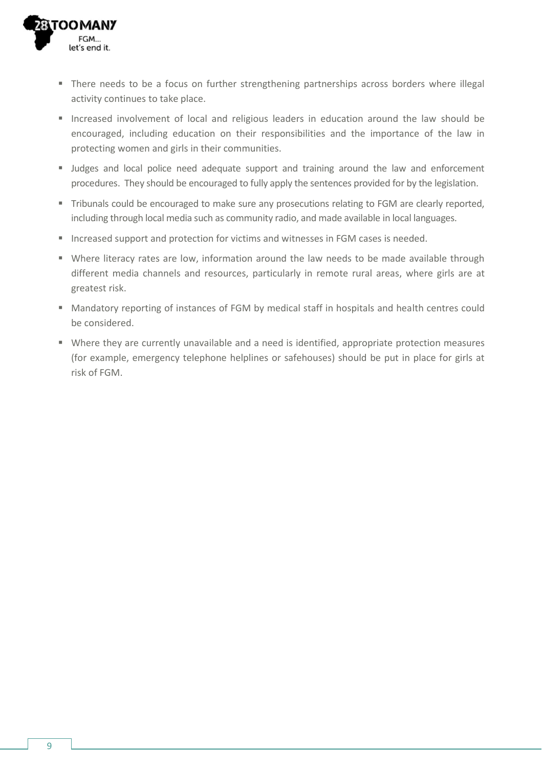

- There needs to be a focus on further strengthening partnerships across borders where illegal activity continues to take place.
- Increased involvement of local and religious leaders in education around the law should be encouraged, including education on their responsibilities and the importance of the law in protecting women and girls in their communities.
- Judges and local police need adequate support and training around the law and enforcement procedures. They should be encouraged to fully apply the sentences provided for by the legislation.
- Tribunals could be encouraged to make sure any prosecutions relating to FGM are clearly reported, including through local media such as community radio, and made available in local languages.
- **Increased support and protection for victims and witnesses in FGM cases is needed.**
- Where literacy rates are low, information around the law needs to be made available through different media channels and resources, particularly in remote rural areas, where girls are at greatest risk.
- Mandatory reporting of instances of FGM by medical staff in hospitals and health centres could be considered.
- Where they are currently unavailable and a need is identified, appropriate protection measures (for example, emergency telephone helplines or safehouses) should be put in place for girls at risk of FGM.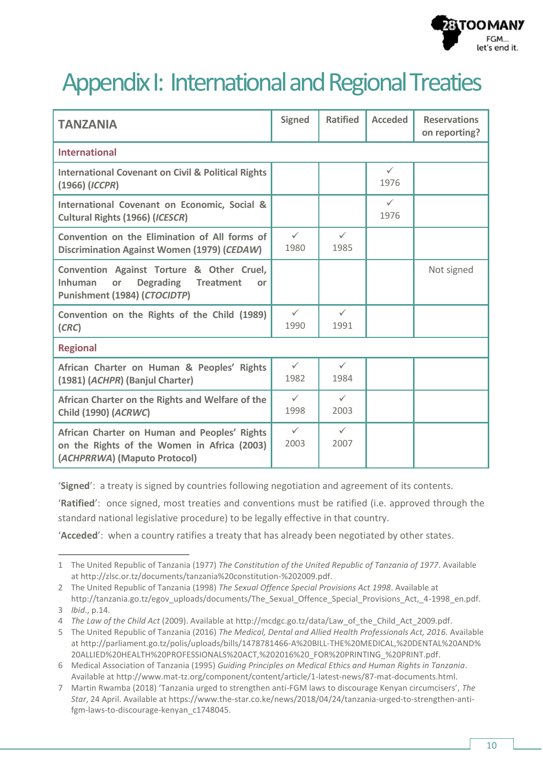

# Appendix I: International and Regional Treaties

| <b>TANZANIA</b>                                                                                                                                 | <b>Signed</b>        | <b>Ratified</b>      | <b>Acceded</b>       | <b>Reservations</b><br>on reporting? |  |  |
|-------------------------------------------------------------------------------------------------------------------------------------------------|----------------------|----------------------|----------------------|--------------------------------------|--|--|
| <b>International</b>                                                                                                                            |                      |                      |                      |                                      |  |  |
| <b>International Covenant on Civil &amp; Political Rights</b><br>$(1966)$ (ICCPR)                                                               |                      |                      | $\checkmark$<br>1976 |                                      |  |  |
| International Covenant on Economic, Social &<br>Cultural Rights (1966) (ICESCR)                                                                 |                      |                      | $\checkmark$<br>1976 |                                      |  |  |
| Convention on the Elimination of All forms of<br>Discrimination Against Women (1979) (CEDAW)                                                    | $\checkmark$<br>1980 | $\checkmark$<br>1985 |                      |                                      |  |  |
| Convention Against Torture & Other Cruel,<br><b>Inhuman</b><br><b>Degrading</b><br><b>Treatment</b><br>or<br>or<br>Punishment (1984) (CTOCIDTP) |                      |                      |                      | Not signed                           |  |  |
| Convention on the Rights of the Child (1989)<br>(CRC)                                                                                           | $\checkmark$<br>1990 | $\checkmark$<br>1991 |                      |                                      |  |  |
| <b>Regional</b>                                                                                                                                 |                      |                      |                      |                                      |  |  |
| African Charter on Human & Peoples' Rights<br>(1981) (ACHPR) (Banjul Charter)                                                                   | $\checkmark$<br>1982 | $\checkmark$<br>1984 |                      |                                      |  |  |
| African Charter on the Rights and Welfare of the<br><b>Child (1990) (ACRWC)</b>                                                                 | $\checkmark$<br>1998 | $\checkmark$<br>2003 |                      |                                      |  |  |
| African Charter on Human and Peoples' Rights<br>on the Rights of the Women in Africa (2003)<br>(ACHPRRWA) (Maputo Protocol)                     | $\checkmark$<br>2003 | $\checkmark$<br>2007 |                      |                                      |  |  |

'**Signed**': a treaty is signed by countries following negotiation and agreement of its contents.

'**Ratified**': once signed, most treaties and conventions must be ratified (i.e. approved through the standard national legislative procedure) to be legally effective in that country.

'**Acceded**': when a country ratifies a treaty that has already been negotiated by other states.

 $\overline{\phantom{a}}$ 

<sup>1</sup> The United Republic of Tanzania (1977) *The Constitution of the United Republic of Tanzania of 1977*. Available a[t http://zlsc.or.tz/documents/tanzania%20constitution-%202009.pdf.](http://zlsc.or.tz/documents/tanzania%20constitution-%202009.pdf)

<sup>2</sup> The United Republic of Tanzania (1998) *The Sexual Offence Special Provisions Act 1998*. Available at [http://tanzania.go.tz/egov\\_uploads/documents/The\\_Sexual\\_Offence\\_Special\\_Provisions\\_Act,\\_4-1998\\_en.pdf.](http://tanzania.go.tz/egov_uploads/documents/The_Sexual_Offence_Special_Provisions_Act,_4-1998_en.pdf)

<sup>3</sup> *Ibid*., p.14.

<sup>4</sup> *The Law of the Child Act* (2009). Available a[t http://mcdgc.go.tz/data/Law\\_of\\_the\\_Child\\_Act\\_2009.pdf.](http://mcdgc.go.tz/data/Law_of_the_Child_Act_2009.pdf)

<sup>5</sup> The United Republic of Tanzania (2016) *The Medical, Dental and Allied Health Professionals Act, 2016.* Available a[t http://parliament.go.tz/polis/uploads/bills/1478781466-A%20BILL-THE%20MEDICAL,%20DENTAL%20AND%](http://parliament.go.tz/polis/uploads/bills/1478781466-A%20BILL-THE%20MEDICAL,%20DENTAL%20AND%20ALLIED%20HEALTH%20PROFESSIONALS%20ACT,%202016%20_FOR%20PRINTING_%20PRINT.pdf) [20ALLIED%20HEALTH%20PROFESSIONALS%20ACT,%202016%20\\_FOR%20PRINTING\\_%20PRINT.pdf.](http://parliament.go.tz/polis/uploads/bills/1478781466-A%20BILL-THE%20MEDICAL,%20DENTAL%20AND%20ALLIED%20HEALTH%20PROFESSIONALS%20ACT,%202016%20_FOR%20PRINTING_%20PRINT.pdf)

<sup>6</sup> Medical Association of Tanzania (1995) *Guiding Principles on Medical Ethics and Human Rights in Tanzania*. Available a[t http://www.mat-tz.org/component/content/article/1-latest-news/87-mat-documents.html.](http://www.mat-tz.org/component/content/article/1-latest-news/87-mat-documents.html)

<sup>7</sup> Martin Rwamba (2018) 'Tanzania urged to strengthen anti-FGM laws to discourage Kenyan circumcisers', *The Star*, 24 April. Available at [https://www.the-star.co.ke/news/2018/04/24/tanzania-urged-to-strengthen-anti](https://www.the-star.co.ke/news/2018/04/24/tanzania-urged-to-strengthen-anti-fgm-laws-to-discourage-kenyan_c1748045)[fgm-laws-to-discourage-kenyan\\_c1748045.](https://www.the-star.co.ke/news/2018/04/24/tanzania-urged-to-strengthen-anti-fgm-laws-to-discourage-kenyan_c1748045)